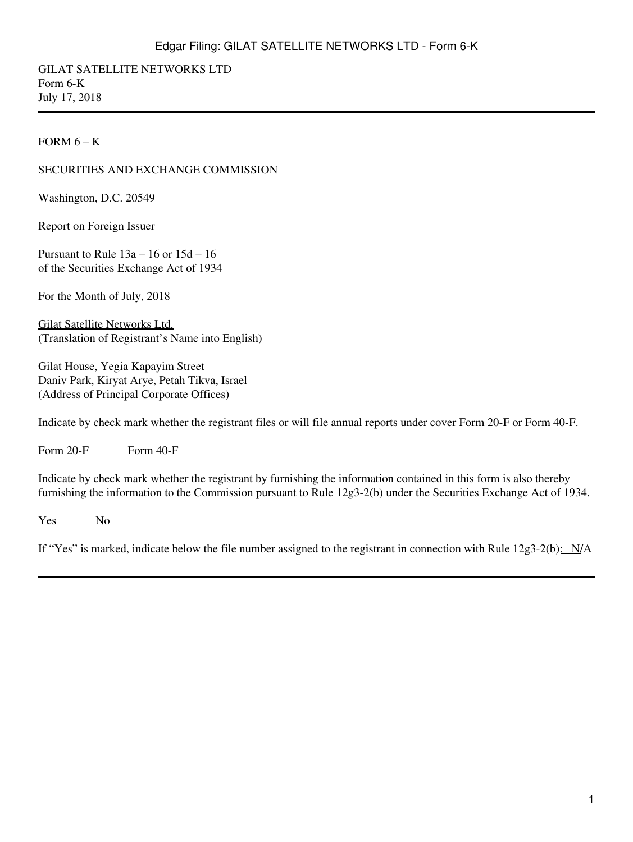GILAT SATELLITE NETWORKS LTD Form 6-K July 17, 2018

FORM  $6 - K$ 

#### SECURITIES AND EXCHANGE COMMISSION

Washington, D.C. 20549

Report on Foreign Issuer

Pursuant to Rule 13a – 16 or 15d – 16 of the Securities Exchange Act of 1934

For the Month of July, 2018

Gilat Satellite Networks Ltd. (Translation of Registrant's Name into English)

Gilat House, Yegia Kapayim Street Daniv Park, Kiryat Arye, Petah Tikva, Israel (Address of Principal Corporate Offices)

Indicate by check mark whether the registrant files or will file annual reports under cover Form 20-F or Form 40-F.

Form  $20-F$  Form  $40-F$ 

Indicate by check mark whether the registrant by furnishing the information contained in this form is also thereby furnishing the information to the Commission pursuant to Rule 12g3-2(b) under the Securities Exchange Act of 1934.

Yes No

If "Yes" is marked, indicate below the file number assigned to the registrant in connection with Rule  $12g3-2(b)$ :  $N/A$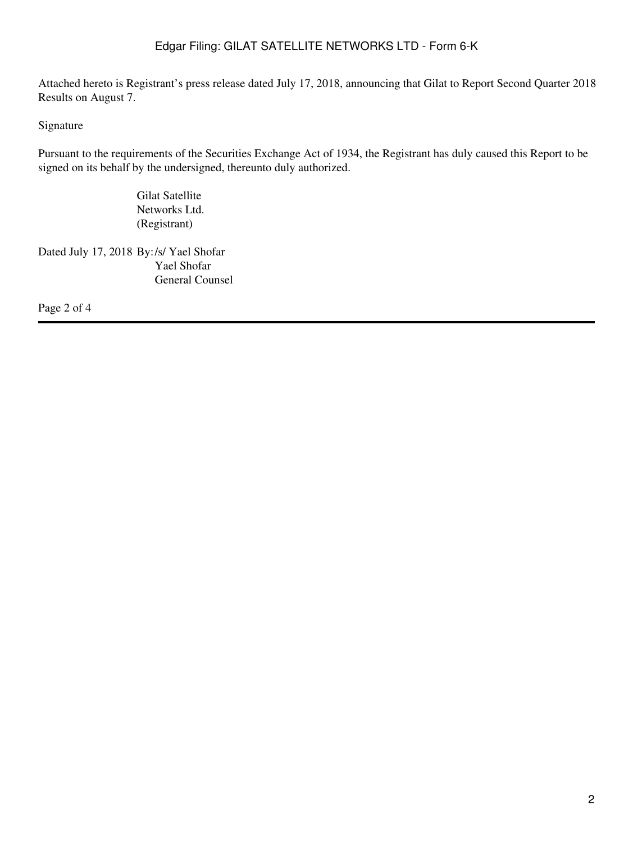Attached hereto is Registrant's press release dated July 17, 2018, announcing that Gilat to Report Second Quarter 2018 Results on August 7.

### Signature

Pursuant to the requirements of the Securities Exchange Act of 1934, the Registrant has duly caused this Report to be signed on its behalf by the undersigned, thereunto duly authorized.

> Gilat Satellite Networks Ltd. (Registrant)

Dated July 17, 2018 By:/s/ Yael Shofar Yael Shofar General Counsel

Page 2 of 4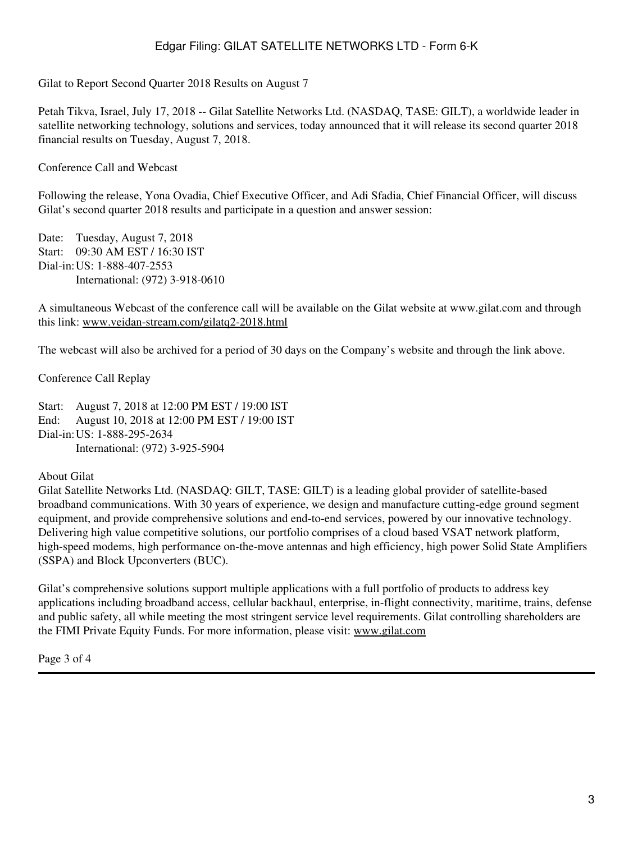Gilat to Report Second Quarter 2018 Results on August 7

Petah Tikva, Israel, July 17, 2018 -- Gilat Satellite Networks Ltd. (NASDAQ, TASE: GILT), a worldwide leader in satellite networking technology, solutions and services, today announced that it will release its second quarter 2018 financial results on Tuesday, August 7, 2018.

Conference Call and Webcast

Following the release, Yona Ovadia, Chief Executive Officer, and Adi Sfadia, Chief Financial Officer, will discuss Gilat's second quarter 2018 results and participate in a question and answer session:

Date: Tuesday, August 7, 2018 Start: 09:30 AM EST / 16:30 IST Dial-in:US: 1-888-407-2553 International: (972) 3-918-0610

A simultaneous Webcast of the conference call will be available on the Gilat website at www.gilat.com and through this link: www.veidan-stream.com/gilatq2-2018.html

The webcast will also be archived for a period of 30 days on the Company's website and through the link above.

Conference Call Replay

Start: August 7, 2018 at 12:00 PM EST / 19:00 IST End: August 10, 2018 at 12:00 PM EST / 19:00 IST Dial-in:US: 1-888-295-2634 International: (972) 3-925-5904

#### About Gilat

Gilat Satellite Networks Ltd. (NASDAQ: GILT, TASE: GILT) is a leading global provider of satellite-based broadband communications. With 30 years of experience, we design and manufacture cutting-edge ground segment equipment, and provide comprehensive solutions and end-to-end services, powered by our innovative technology. Delivering high value competitive solutions, our portfolio comprises of a cloud based VSAT network platform, high-speed modems, high performance on-the-move antennas and high efficiency, high power Solid State Amplifiers (SSPA) and Block Upconverters (BUC).

Gilat's comprehensive solutions support multiple applications with a full portfolio of products to address key applications including broadband access, cellular backhaul, enterprise, in-flight connectivity, maritime, trains, defense and public safety, all while meeting the most stringent service level requirements. Gilat controlling shareholders are the FIMI Private Equity Funds. For more information, please visit: www.gilat.com

Page 3 of 4